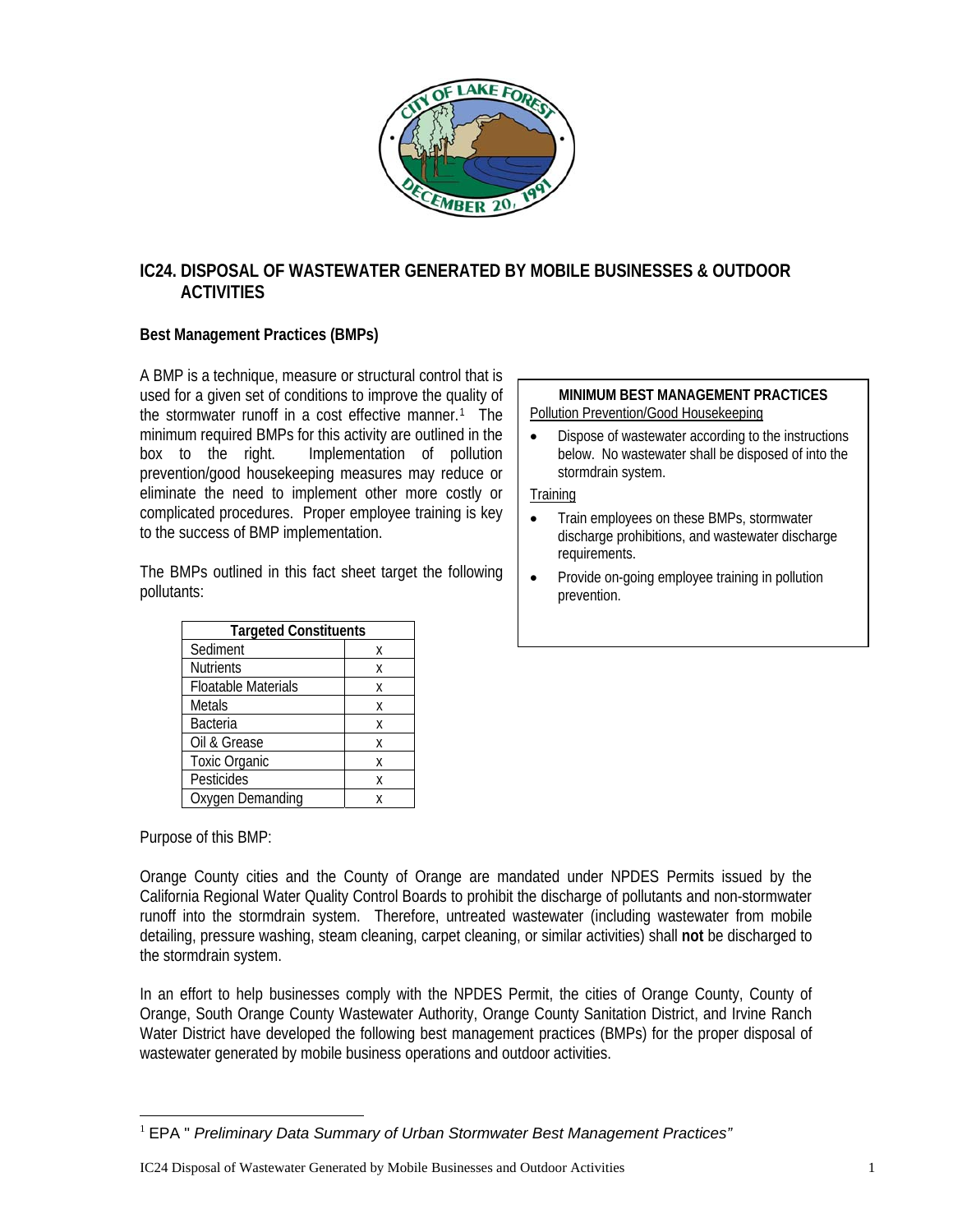

# **IC24. DISPOSAL OF WASTEWATER GENERATED BY MOBILE BUSINESSES & OUTDOOR ACTIVITIES**

## **Best Management Practices (BMPs)**

A BMP is a technique, measure or structural control that is used for a given set of conditions to improve the quality of the stormwater runoff in a cost effective manner.<sup>[1](#page-0-0)</sup> The minimum required BMPs for this activity are outlined in the box to the right. Implementation of pollution prevention/good housekeeping measures may reduce or eliminate the need to implement other more costly or complicated procedures. Proper employee training is key to the success of BMP implementation.

The BMPs outlined in this fact sheet target the following pollutants:

| <b>Targeted Constituents</b> |   |
|------------------------------|---|
| Sediment                     | χ |
| <b>Nutrients</b>             | X |
| <b>Floatable Materials</b>   | X |
| <b>Metals</b>                | X |
| <b>Bacteria</b>              | X |
| Oil & Grease                 | Χ |
| <b>Toxic Organic</b>         | X |
| Pesticides                   | X |
| Oxygen Demanding             |   |

Purpose of this BMP:

Orange County cities and the County of Orange are mandated under NPDES Permits issued by the California Regional Water Quality Control Boards to prohibit the discharge of pollutants and non-stormwater runoff into the stormdrain system. Therefore, untreated wastewater (including wastewater from mobile detailing, pressure washing, steam cleaning, carpet cleaning, or similar activities) shall **not** be discharged to the stormdrain system.

In an effort to help businesses comply with the NPDES Permit, the cities of Orange County, County of Orange, South Orange County Wastewater Authority, Orange County Sanitation District, and Irvine Ranch Water District have developed the following best management practices (BMPs) for the proper disposal of wastewater generated by mobile business operations and outdoor activities.

#### **MINIMUM BEST MANAGEMENT PRACTICES**  Pollution Prevention/Good Housekeeping

• Dispose of wastewater according to the instructions below. No wastewater shall be disposed of into the stormdrain system.

**Training** 

- Train employees on these BMPs, stormwater discharge prohibitions, and wastewater discharge requirements.
- Provide on-going employee training in pollution prevention.

<span id="page-0-0"></span> $\overline{a}$ <sup>1</sup> EPA " *Preliminary Data Summary of Urban Stormwater Best Management Practices"*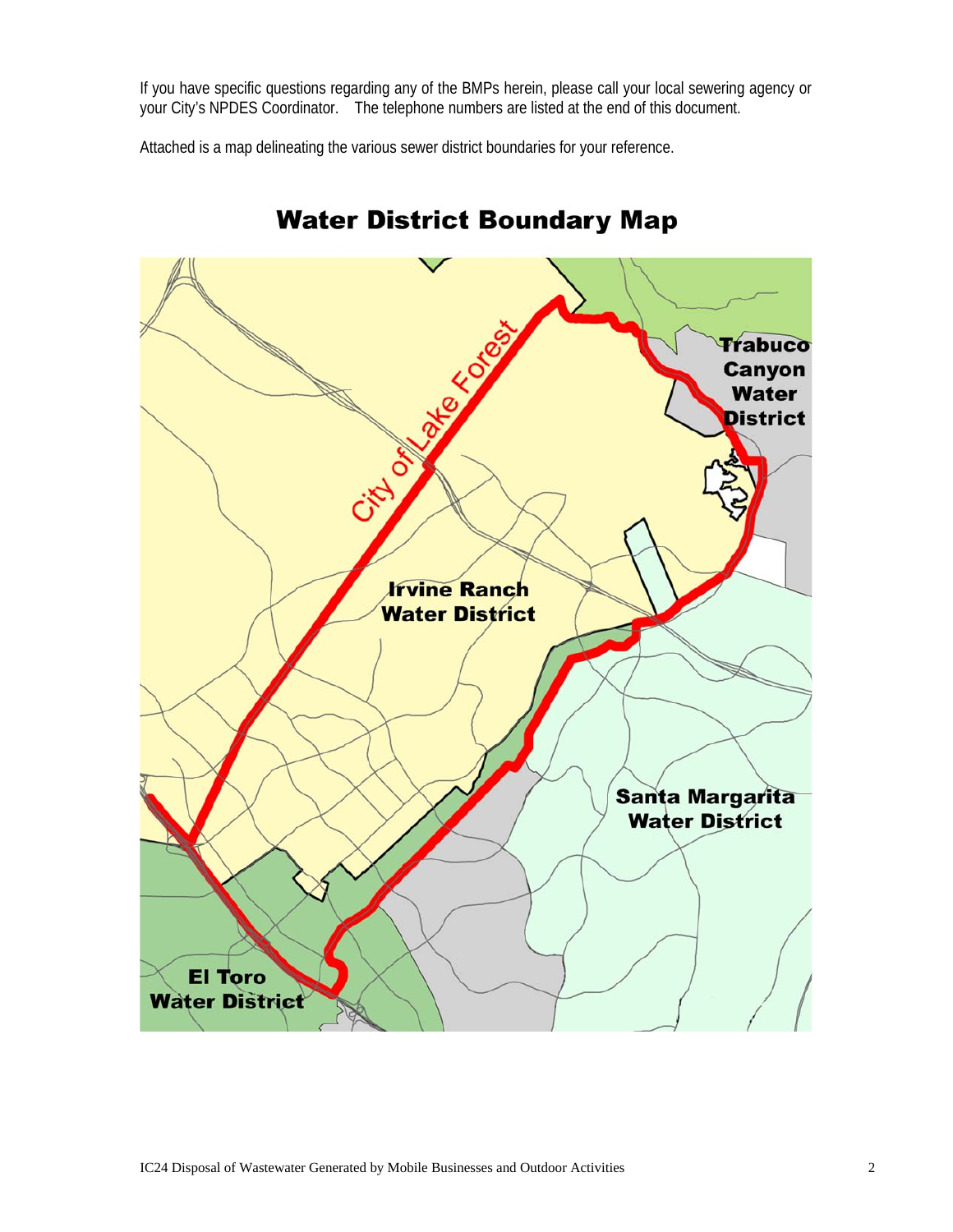If you have specific questions regarding any of the BMPs herein, please call your local sewering agency or your City's NPDES Coordinator. The telephone numbers are listed at the end of this document.

Attached is a map delineating the various sewer district boundaries for your reference.



# **Water District Boundary Map**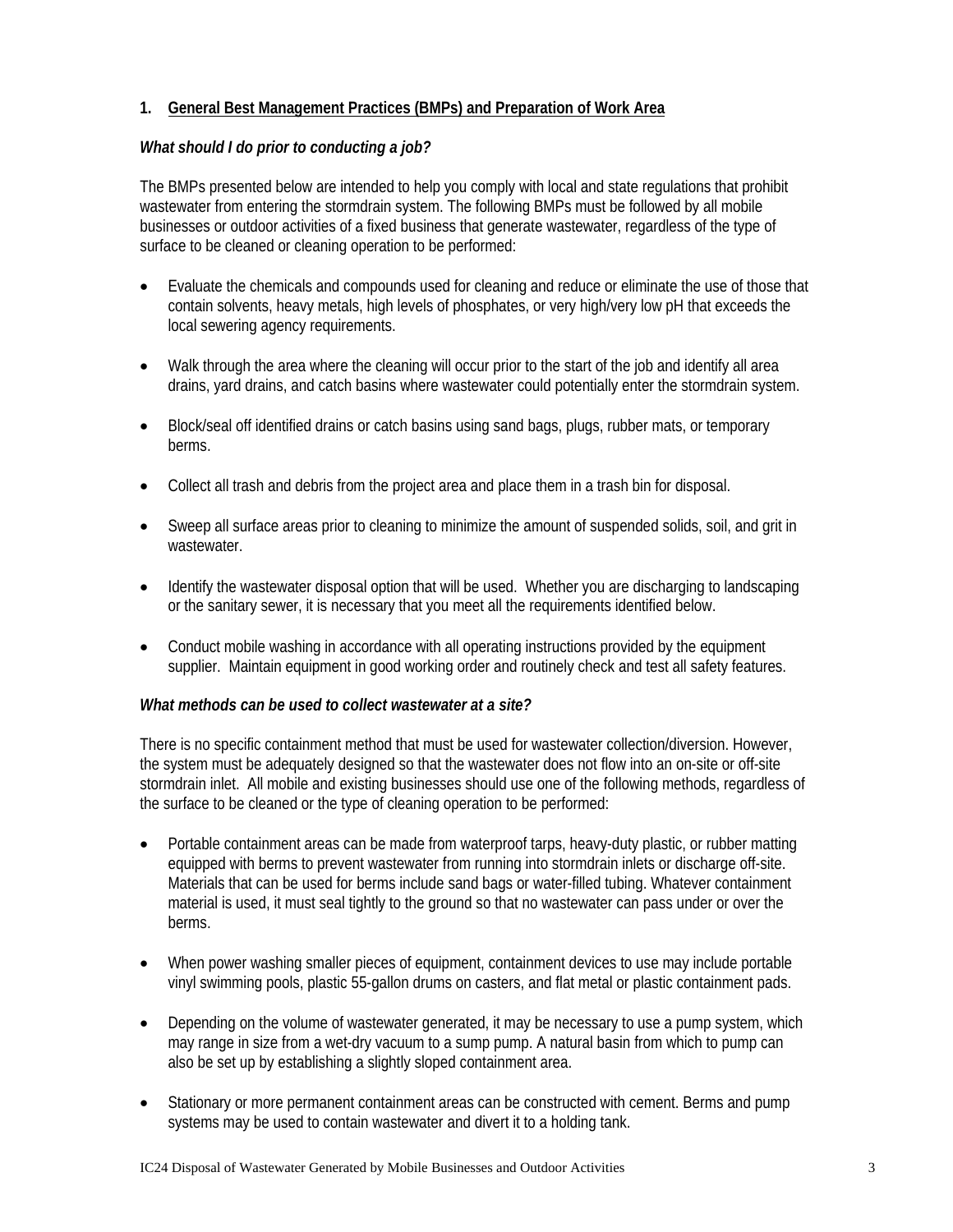## **1. General Best Management Practices (BMPs) and Preparation of Work Area**

## *What should I do prior to conducting a job?*

The BMPs presented below are intended to help you comply with local and state regulations that prohibit wastewater from entering the stormdrain system. The following BMPs must be followed by all mobile businesses or outdoor activities of a fixed business that generate wastewater, regardless of the type of surface to be cleaned or cleaning operation to be performed:

- Evaluate the chemicals and compounds used for cleaning and reduce or eliminate the use of those that contain solvents, heavy metals, high levels of phosphates, or very high/very low pH that exceeds the local sewering agency requirements.
- Walk through the area where the cleaning will occur prior to the start of the job and identify all area drains, yard drains, and catch basins where wastewater could potentially enter the stormdrain system.
- Block/seal off identified drains or catch basins using sand bags, plugs, rubber mats, or temporary berms.
- Collect all trash and debris from the project area and place them in a trash bin for disposal.
- Sweep all surface areas prior to cleaning to minimize the amount of suspended solids, soil, and grit in wastewater.
- Identify the wastewater disposal option that will be used. Whether you are discharging to landscaping or the sanitary sewer, it is necessary that you meet all the requirements identified below.
- Conduct mobile washing in accordance with all operating instructions provided by the equipment supplier. Maintain equipment in good working order and routinely check and test all safety features.

#### *What methods can be used to collect wastewater at a site?*

There is no specific containment method that must be used for wastewater collection/diversion. However, the system must be adequately designed so that the wastewater does not flow into an on-site or off-site stormdrain inlet. All mobile and existing businesses should use one of the following methods, regardless of the surface to be cleaned or the type of cleaning operation to be performed:

- Portable containment areas can be made from waterproof tarps, heavy-duty plastic, or rubber matting equipped with berms to prevent wastewater from running into stormdrain inlets or discharge off-site. Materials that can be used for berms include sand bags or water-filled tubing. Whatever containment material is used, it must seal tightly to the ground so that no wastewater can pass under or over the berms.
- When power washing smaller pieces of equipment, containment devices to use may include portable vinyl swimming pools, plastic 55-gallon drums on casters, and flat metal or plastic containment pads.
- Depending on the volume of wastewater generated, it may be necessary to use a pump system, which may range in size from a wet-dry vacuum to a sump pump. A natural basin from which to pump can also be set up by establishing a slightly sloped containment area.
- Stationary or more permanent containment areas can be constructed with cement. Berms and pump systems may be used to contain wastewater and divert it to a holding tank.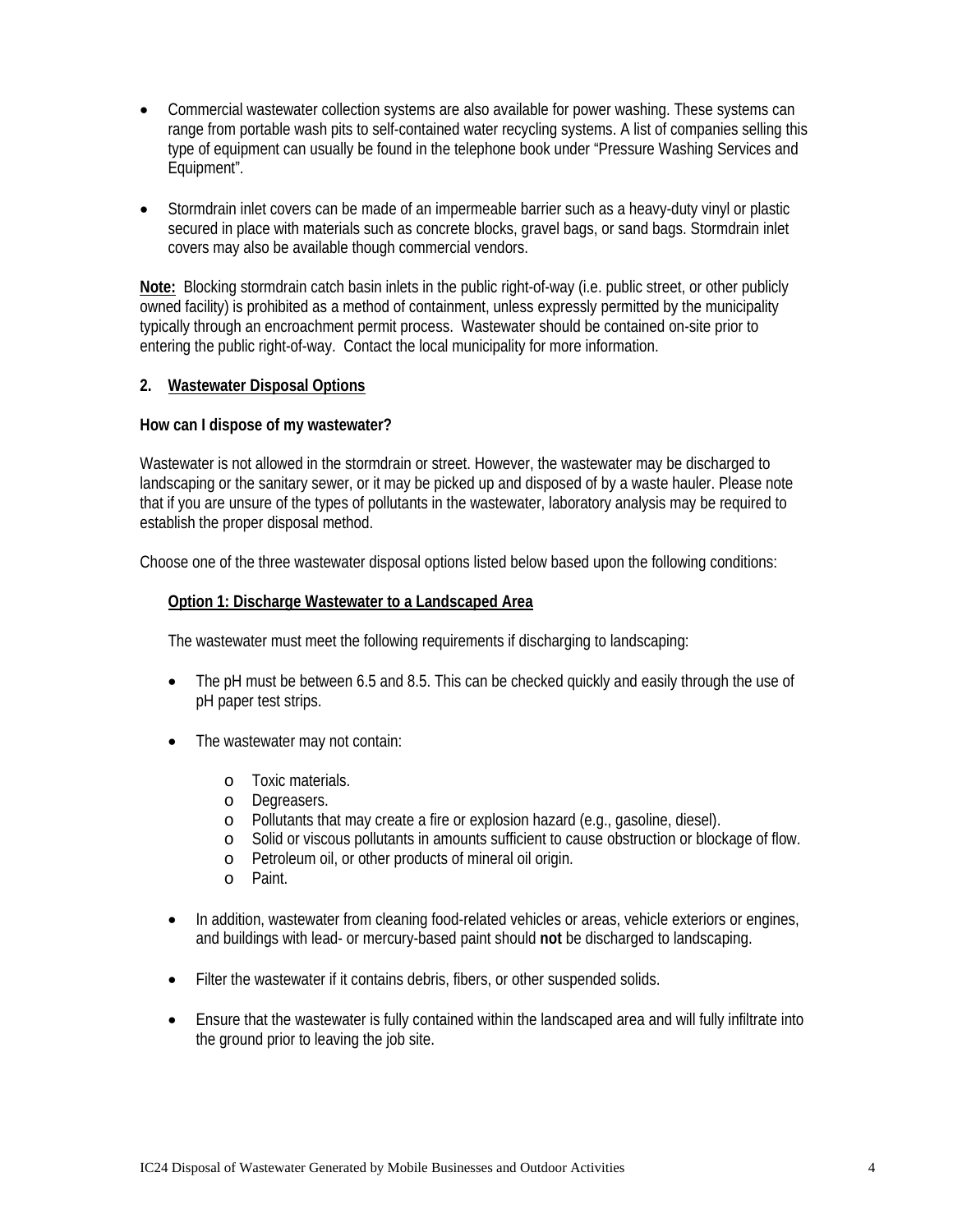- Commercial wastewater collection systems are also available for power washing. These systems can range from portable wash pits to self-contained water recycling systems. A list of companies selling this type of equipment can usually be found in the telephone book under "Pressure Washing Services and Equipment".
- Stormdrain inlet covers can be made of an impermeable barrier such as a heavy-duty vinyl or plastic secured in place with materials such as concrete blocks, gravel bags, or sand bags. Stormdrain inlet covers may also be available though commercial vendors.

**Note:** Blocking stormdrain catch basin inlets in the public right-of-way (i.e. public street, or other publicly owned facility) is prohibited as a method of containment, unless expressly permitted by the municipality typically through an encroachment permit process. Wastewater should be contained on-site prior to entering the public right-of-way. Contact the local municipality for more information.

#### **2. Wastewater Disposal Options**

#### **How can I dispose of my wastewater?**

Wastewater is not allowed in the stormdrain or street. However, the wastewater may be discharged to landscaping or the sanitary sewer, or it may be picked up and disposed of by a waste hauler. Please note that if you are unsure of the types of pollutants in the wastewater, laboratory analysis may be required to establish the proper disposal method.

Choose one of the three wastewater disposal options listed below based upon the following conditions:

#### **Option 1: Discharge Wastewater to a Landscaped Area**

The wastewater must meet the following requirements if discharging to landscaping:

- The pH must be between 6.5 and 8.5. This can be checked quickly and easily through the use of pH paper test strips.
- The wastewater may not contain:
	- o Toxic materials.
	- o Degreasers.
	- o Pollutants that may create a fire or explosion hazard (e.g., gasoline, diesel).
	- o Solid or viscous pollutants in amounts sufficient to cause obstruction or blockage of flow.
	- o Petroleum oil, or other products of mineral oil origin.
	- o Paint.
- In addition, wastewater from cleaning food-related vehicles or areas, vehicle exteriors or engines, and buildings with lead- or mercury-based paint should **not** be discharged to landscaping.
- Filter the wastewater if it contains debris, fibers, or other suspended solids.
- Ensure that the wastewater is fully contained within the landscaped area and will fully infiltrate into the ground prior to leaving the job site.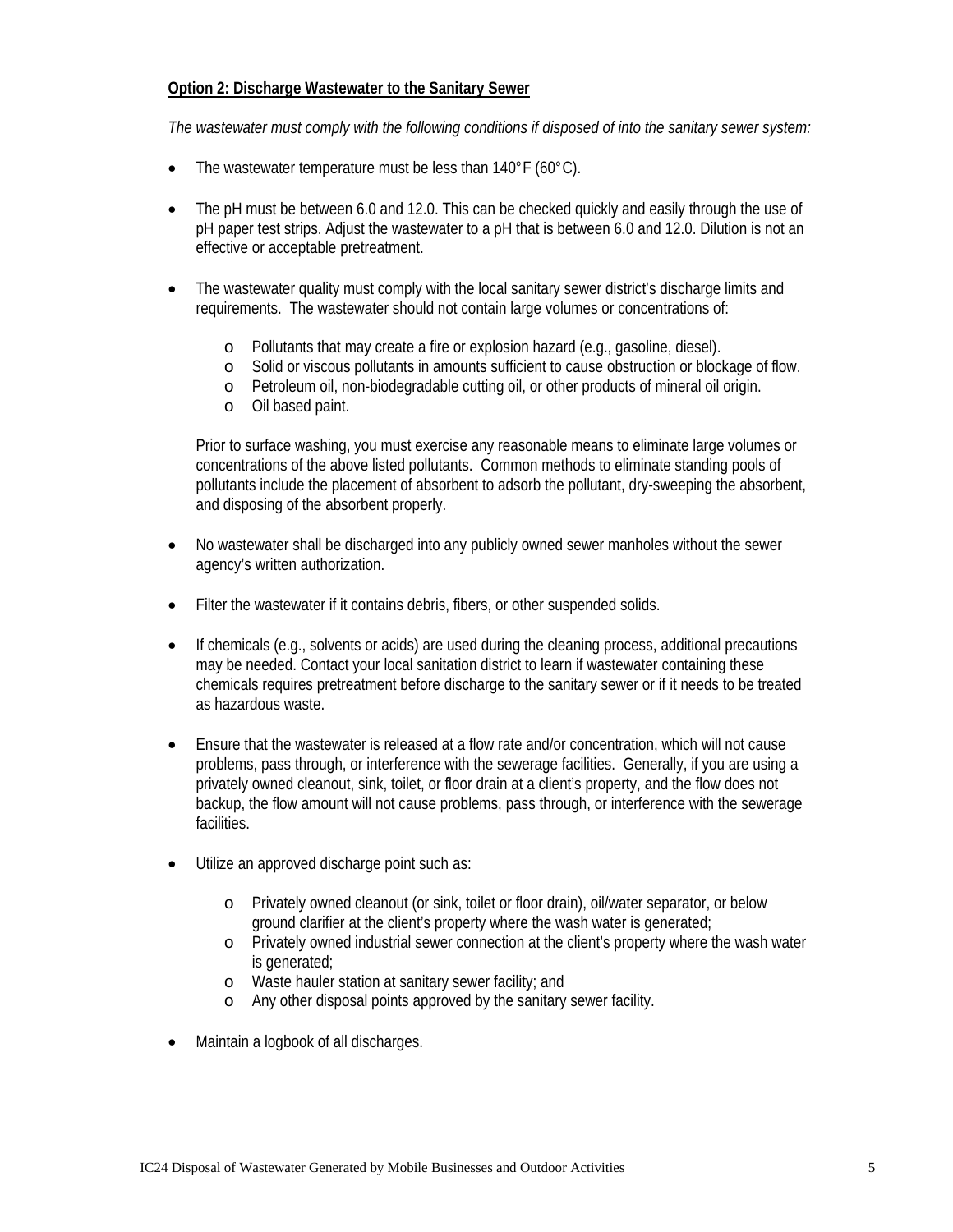## **Option 2: Discharge Wastewater to the Sanitary Sewer**

*The wastewater must comply with the following conditions if disposed of into the sanitary sewer system:* 

- The wastewater temperature must be less than  $140^{\circ}$ F (60 $^{\circ}$ C).
- The pH must be between 6.0 and 12.0. This can be checked quickly and easily through the use of pH paper test strips. Adjust the wastewater to a pH that is between 6.0 and 12.0. Dilution is not an effective or acceptable pretreatment.
- The wastewater quality must comply with the local sanitary sewer district's discharge limits and requirements. The wastewater should not contain large volumes or concentrations of:
	- o Pollutants that may create a fire or explosion hazard (e.g., gasoline, diesel).
	- o Solid or viscous pollutants in amounts sufficient to cause obstruction or blockage of flow.
	- o Petroleum oil, non-biodegradable cutting oil, or other products of mineral oil origin.
	- o Oil based paint.

Prior to surface washing, you must exercise any reasonable means to eliminate large volumes or concentrations of the above listed pollutants. Common methods to eliminate standing pools of pollutants include the placement of absorbent to adsorb the pollutant, dry-sweeping the absorbent, and disposing of the absorbent properly.

- No wastewater shall be discharged into any publicly owned sewer manholes without the sewer agency's written authorization.
- Filter the wastewater if it contains debris, fibers, or other suspended solids.
- If chemicals (e.g., solvents or acids) are used during the cleaning process, additional precautions may be needed. Contact your local sanitation district to learn if wastewater containing these chemicals requires pretreatment before discharge to the sanitary sewer or if it needs to be treated as hazardous waste.
- Ensure that the wastewater is released at a flow rate and/or concentration, which will not cause problems, pass through, or interference with the sewerage facilities. Generally, if you are using a privately owned cleanout, sink, toilet, or floor drain at a client's property, and the flow does not backup, the flow amount will not cause problems, pass through, or interference with the sewerage facilities.
- Utilize an approved discharge point such as:
	- o Privately owned cleanout (or sink, toilet or floor drain), oil/water separator, or below ground clarifier at the client's property where the wash water is generated;
	- o Privately owned industrial sewer connection at the client's property where the wash water is generated:
	- o Waste hauler station at sanitary sewer facility; and
	- o Any other disposal points approved by the sanitary sewer facility.
- Maintain a logbook of all discharges.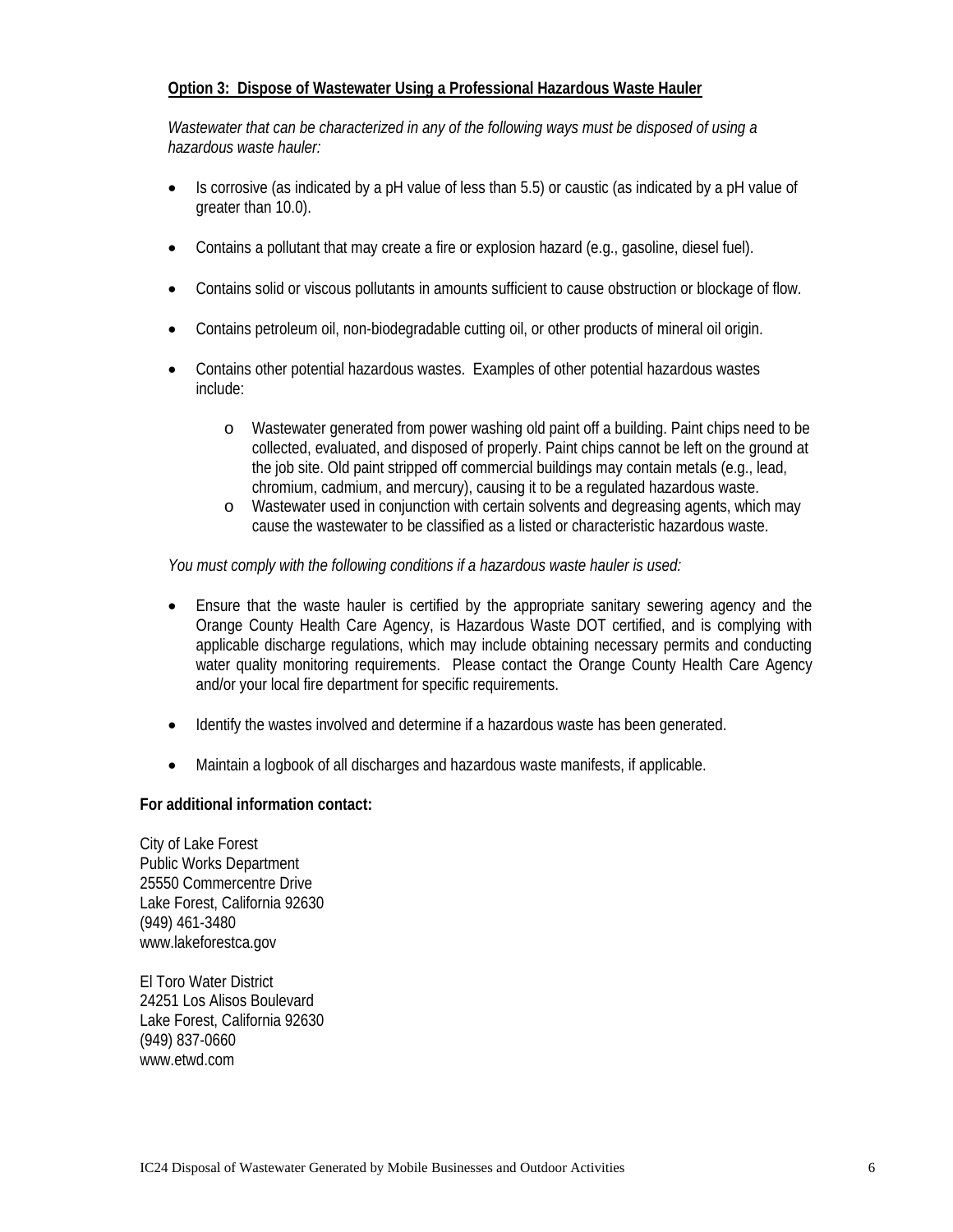## **Option 3: Dispose of Wastewater Using a Professional Hazardous Waste Hauler**

*Wastewater that can be characterized in any of the following ways must be disposed of using a hazardous waste hauler:*

- Is corrosive (as indicated by a pH value of less than 5.5) or caustic (as indicated by a pH value of greater than 10.0).
- Contains a pollutant that may create a fire or explosion hazard (e.g., gasoline, diesel fuel).
- Contains solid or viscous pollutants in amounts sufficient to cause obstruction or blockage of flow.
- Contains petroleum oil, non-biodegradable cutting oil, or other products of mineral oil origin.
- Contains other potential hazardous wastes. Examples of other potential hazardous wastes include:
	- o Wastewater generated from power washing old paint off a building. Paint chips need to be collected, evaluated, and disposed of properly. Paint chips cannot be left on the ground at the job site. Old paint stripped off commercial buildings may contain metals (e.g., lead, chromium, cadmium, and mercury), causing it to be a regulated hazardous waste.
	- o Wastewater used in conjunction with certain solvents and degreasing agents, which may cause the wastewater to be classified as a listed or characteristic hazardous waste.

#### *You must comply with the following conditions if a hazardous waste hauler is used:*

- Ensure that the waste hauler is certified by the appropriate sanitary sewering agency and the Orange County Health Care Agency, is Hazardous Waste DOT certified, and is complying with applicable discharge regulations, which may include obtaining necessary permits and conducting water quality monitoring requirements. Please contact the Orange County Health Care Agency and/or your local fire department for specific requirements.
- Identify the wastes involved and determine if a hazardous waste has been generated.
- Maintain a logbook of all discharges and hazardous waste manifests, if applicable.

#### **For additional information contact:**

City of Lake Forest Public Works Department 25550 Commercentre Drive Lake Forest, California 92630 (949) 461-3480 www.lakeforestca.gov

El Toro Water District 24251 Los Alisos Boulevard Lake Forest, California 92630 (949) 837-0660 www.etwd.com